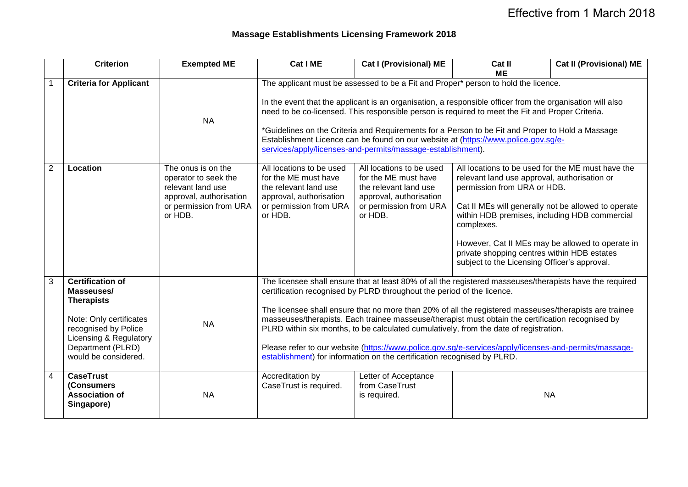## **Massage Establishments Licensing Framework 2018**

|                | <b>Criterion</b>                                                                                                                                                                     | <b>Exempted ME</b>                                                                                                              | Cat I ME                                                                                                                                                                                                                                                                                                                                                                                                                                                                                                                                                                                                                                                                       | <b>Cat I (Provisional) ME</b>                                                                                                                                                                                                                                                                                                                                                                                                                                                                                                                                             | Cat II                                                                                                                                                                                                                                                                                                                                                                                                    | <b>Cat II (Provisional) ME</b> |
|----------------|--------------------------------------------------------------------------------------------------------------------------------------------------------------------------------------|---------------------------------------------------------------------------------------------------------------------------------|--------------------------------------------------------------------------------------------------------------------------------------------------------------------------------------------------------------------------------------------------------------------------------------------------------------------------------------------------------------------------------------------------------------------------------------------------------------------------------------------------------------------------------------------------------------------------------------------------------------------------------------------------------------------------------|---------------------------------------------------------------------------------------------------------------------------------------------------------------------------------------------------------------------------------------------------------------------------------------------------------------------------------------------------------------------------------------------------------------------------------------------------------------------------------------------------------------------------------------------------------------------------|-----------------------------------------------------------------------------------------------------------------------------------------------------------------------------------------------------------------------------------------------------------------------------------------------------------------------------------------------------------------------------------------------------------|--------------------------------|
|                | <b>Criteria for Applicant</b>                                                                                                                                                        | <b>NA</b>                                                                                                                       |                                                                                                                                                                                                                                                                                                                                                                                                                                                                                                                                                                                                                                                                                | <b>ME</b><br>The applicant must be assessed to be a Fit and Proper* person to hold the licence.<br>In the event that the applicant is an organisation, a responsible officer from the organisation will also<br>need to be co-licensed. This responsible person is required to meet the Fit and Proper Criteria.<br>*Guidelines on the Criteria and Requirements for a Person to be Fit and Proper to Hold a Massage<br>Establishment Licence can be found on our website at (https://www.police.gov.sg/e-<br>services/apply/licenses-and-permits/massage-establishment). |                                                                                                                                                                                                                                                                                                                                                                                                           |                                |
| $\overline{2}$ | Location                                                                                                                                                                             | The onus is on the<br>operator to seek the<br>relevant land use<br>approval, authorisation<br>or permission from URA<br>or HDB. | All locations to be used<br>for the ME must have<br>the relevant land use<br>approval, authorisation<br>or permission from URA<br>or HDB.                                                                                                                                                                                                                                                                                                                                                                                                                                                                                                                                      | All locations to be used<br>for the ME must have<br>the relevant land use<br>approval, authorisation<br>or permission from URA<br>or HDB.                                                                                                                                                                                                                                                                                                                                                                                                                                 | All locations to be used for the ME must have the<br>relevant land use approval, authorisation or<br>permission from URA or HDB.<br>Cat II MEs will generally not be allowed to operate<br>within HDB premises, including HDB commercial<br>complexes.<br>However, Cat II MEs may be allowed to operate in<br>private shopping centres within HDB estates<br>subject to the Licensing Officer's approval. |                                |
| 3              | <b>Certification of</b><br>Masseuses/<br><b>Therapists</b><br>Note: Only certificates<br>recognised by Police<br>Licensing & Regulatory<br>Department (PLRD)<br>would be considered. | <b>NA</b>                                                                                                                       | The licensee shall ensure that at least 80% of all the registered masseuses/therapists have the required<br>certification recognised by PLRD throughout the period of the licence.<br>The licensee shall ensure that no more than 20% of all the registered masseuses/therapists are trainee<br>masseuses/therapists. Each trainee masseuse/therapist must obtain the certification recognised by<br>PLRD within six months, to be calculated cumulatively, from the date of registration.<br>Please refer to our website (https://www.police.gov.sg/e-services/apply/licenses-and-permits/massage-<br>establishment) for information on the certification recognised by PLRD. |                                                                                                                                                                                                                                                                                                                                                                                                                                                                                                                                                                           |                                                                                                                                                                                                                                                                                                                                                                                                           |                                |
| $\overline{4}$ | <b>CaseTrust</b><br>(Consumers)<br><b>Association of</b><br>Singapore)                                                                                                               | <b>NA</b>                                                                                                                       | Accreditation by<br>CaseTrust is required.                                                                                                                                                                                                                                                                                                                                                                                                                                                                                                                                                                                                                                     | Letter of Acceptance<br>from CaseTrust<br>is required.                                                                                                                                                                                                                                                                                                                                                                                                                                                                                                                    | <b>NA</b>                                                                                                                                                                                                                                                                                                                                                                                                 |                                |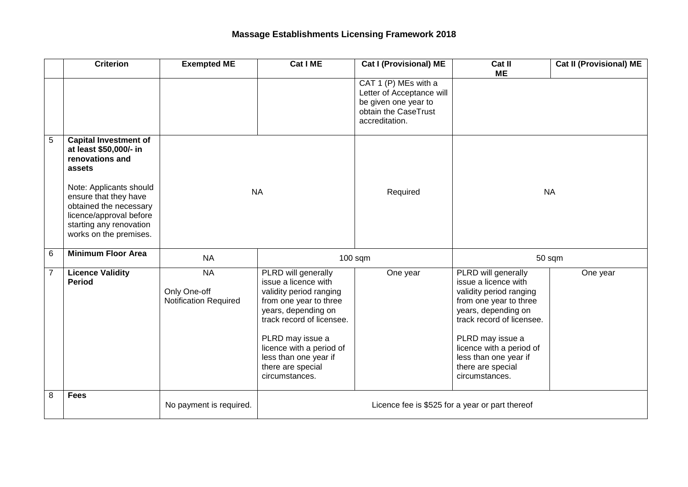|                | <b>Criterion</b>                                                                                                                                                                                                                                  | <b>Exempted ME</b>                                        | Cat I ME                                                                                                                                                                                                                                                             | <b>Cat I (Provisional) ME</b>                                                                                       | Cat II<br><b>ME</b>                                                                                                                                                                                                                                                  | <b>Cat II (Provisional) ME</b> |
|----------------|---------------------------------------------------------------------------------------------------------------------------------------------------------------------------------------------------------------------------------------------------|-----------------------------------------------------------|----------------------------------------------------------------------------------------------------------------------------------------------------------------------------------------------------------------------------------------------------------------------|---------------------------------------------------------------------------------------------------------------------|----------------------------------------------------------------------------------------------------------------------------------------------------------------------------------------------------------------------------------------------------------------------|--------------------------------|
|                |                                                                                                                                                                                                                                                   |                                                           |                                                                                                                                                                                                                                                                      | CAT 1 (P) MEs with a<br>Letter of Acceptance will<br>be given one year to<br>obtain the CaseTrust<br>accreditation. |                                                                                                                                                                                                                                                                      |                                |
| $\overline{5}$ | <b>Capital Investment of</b><br>at least \$50,000/- in<br>renovations and<br>assets<br>Note: Applicants should<br>ensure that they have<br>obtained the necessary<br>licence/approval before<br>starting any renovation<br>works on the premises. | <b>NA</b>                                                 |                                                                                                                                                                                                                                                                      | Required                                                                                                            | <b>NA</b>                                                                                                                                                                                                                                                            |                                |
| $6\phantom{1}$ | <b>Minimum Floor Area</b>                                                                                                                                                                                                                         | <b>NA</b>                                                 |                                                                                                                                                                                                                                                                      | $100$ sqm                                                                                                           | 50 sqm                                                                                                                                                                                                                                                               |                                |
| $\overline{7}$ | <b>Licence Validity</b><br><b>Period</b>                                                                                                                                                                                                          | <b>NA</b><br>Only One-off<br><b>Notification Required</b> | PLRD will generally<br>issue a licence with<br>validity period ranging<br>from one year to three<br>years, depending on<br>track record of licensee.<br>PLRD may issue a<br>licence with a period of<br>less than one year if<br>there are special<br>circumstances. | One year                                                                                                            | PLRD will generally<br>issue a licence with<br>validity period ranging<br>from one year to three<br>years, depending on<br>track record of licensee.<br>PLRD may issue a<br>licence with a period of<br>less than one year if<br>there are special<br>circumstances. | One year                       |
| 8              | <b>Fees</b>                                                                                                                                                                                                                                       | No payment is required.                                   | Licence fee is \$525 for a year or part thereof                                                                                                                                                                                                                      |                                                                                                                     |                                                                                                                                                                                                                                                                      |                                |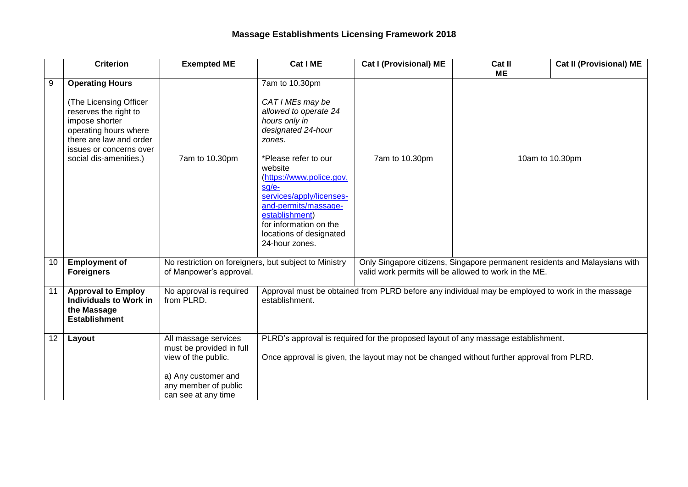|    | <b>Criterion</b>                                                                                                                                                                                           | <b>Exempted ME</b>                                                                                                                            | Cat I ME                                                                                                                                                                                                                                                                                                                          | <b>Cat I (Provisional) ME</b>                                                                                                       | Cat II<br><b>ME</b> | <b>Cat II (Provisional) ME</b> |
|----|------------------------------------------------------------------------------------------------------------------------------------------------------------------------------------------------------------|-----------------------------------------------------------------------------------------------------------------------------------------------|-----------------------------------------------------------------------------------------------------------------------------------------------------------------------------------------------------------------------------------------------------------------------------------------------------------------------------------|-------------------------------------------------------------------------------------------------------------------------------------|---------------------|--------------------------------|
| 9  | <b>Operating Hours</b><br><b>The Licensing Officer</b><br>reserves the right to<br>impose shorter<br>operating hours where<br>there are law and order<br>issues or concerns over<br>social dis-amenities.) | 7am to 10.30pm                                                                                                                                | 7am to 10.30pm<br>CAT I MEs may be<br>allowed to operate 24<br>hours only in<br>designated 24-hour<br>zones.<br>*Please refer to our<br>website<br>(https://www.police.gov.<br>sg/e-<br>services/apply/licenses-<br>and-permits/massage-<br>establishment)<br>for information on the<br>locations of designated<br>24-hour zones. | 7am to 10.30pm                                                                                                                      | 10am to 10.30pm     |                                |
| 10 | <b>Employment of</b><br><b>Foreigners</b>                                                                                                                                                                  | No restriction on foreigners, but subject to Ministry<br>of Manpower's approval.                                                              |                                                                                                                                                                                                                                                                                                                                   | Only Singapore citizens, Singapore permanent residents and Malaysians with<br>valid work permits will be allowed to work in the ME. |                     |                                |
| 11 | <b>Approval to Employ</b><br><b>Individuals to Work in</b><br>the Massage<br><b>Establishment</b>                                                                                                          | No approval is required<br>from PLRD.                                                                                                         | Approval must be obtained from PLRD before any individual may be employed to work in the massage<br>establishment.                                                                                                                                                                                                                |                                                                                                                                     |                     |                                |
| 12 | Layout                                                                                                                                                                                                     | All massage services<br>must be provided in full<br>view of the public.<br>a) Any customer and<br>any member of public<br>can see at any time | PLRD's approval is required for the proposed layout of any massage establishment.<br>Once approval is given, the layout may not be changed without further approval from PLRD.                                                                                                                                                    |                                                                                                                                     |                     |                                |